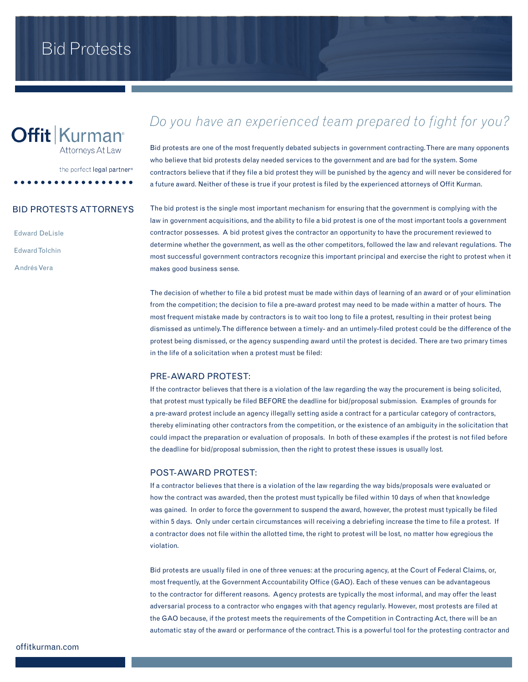# **Offit Kurman**<sup>®</sup>

Attorneys At Law

the perfect legal partner®

## BID PROTESTS ATTORNEYS

Edward DeLisle Edward Tolchin Andrés Vera

# *Do you have an experienced team prepared to fight for you?*

Bid protests are one of the most frequently debated subjects in government contracting. There are many opponents who believe that bid protests delay needed services to the government and are bad for the system. Some contractors believe that if they file a bid protest they will be punished by the agency and will never be considered for a future award. Neither of these is true if your protest is filed by the experienced attorneys of Offit Kurman.

The bid protest is the single most important mechanism for ensuring that the government is complying with the law in government acquisitions, and the ability to file a bid protest is one of the most important tools a government contractor possesses. A bid protest gives the contractor an opportunity to have the procurement reviewed to determine whether the government, as well as the other competitors, followed the law and relevant regulations. The most successful government contractors recognize this important principal and exercise the right to protest when it makes good business sense.

The decision of whether to file a bid protest must be made within days of learning of an award or of your elimination from the competition; the decision to file a pre-award protest may need to be made within a matter of hours. The most frequent mistake made by contractors is to wait too long to file a protest, resulting in their protest being dismissed as untimely. The difference between a timely- and an untimely-filed protest could be the difference of the protest being dismissed, or the agency suspending award until the protest is decided. There are two primary times in the life of a solicitation when a protest must be filed:

#### PRE-AWARD PROTEST:

If the contractor believes that there is a violation of the law regarding the way the procurement is being solicited, that protest must typically be filed BEFORE the deadline for bid/proposal submission. Examples of grounds for a pre-award protest include an agency illegally setting aside a contract for a particular category of contractors, thereby eliminating other contractors from the competition, or the existence of an ambiguity in the solicitation that could impact the preparation or evaluation of proposals. In both of these examples if the protest is not filed before the deadline for bid/proposal submission, then the right to protest these issues is usually lost.

## POST-AWARD PROTEST:

If a contractor believes that there is a violation of the law regarding the way bids/proposals were evaluated or how the contract was awarded, then the protest must typically be filed within 10 days of when that knowledge was gained. In order to force the government to suspend the award, however, the protest must typically be filed within 5 days. Only under certain circumstances will receiving a debriefing increase the time to file a protest. If a contractor does not file within the allotted time, the right to protest will be lost, no matter how egregious the violation.

Bid protests are usually filed in one of three venues: at the procuring agency, at the Court of Federal Claims, or, most frequently, at the Government Accountability Office (GAO). Each of these venues can be advantageous to the contractor for different reasons. Agency protests are typically the most informal, and may offer the least adversarial process to a contractor who engages with that agency regularly. However, most protests are filed at the GAO because, if the protest meets the requirements of the Competition in Contracting Act, there will be an automatic stay of the award or performance of the contract. This is a powerful tool for the protesting contractor and